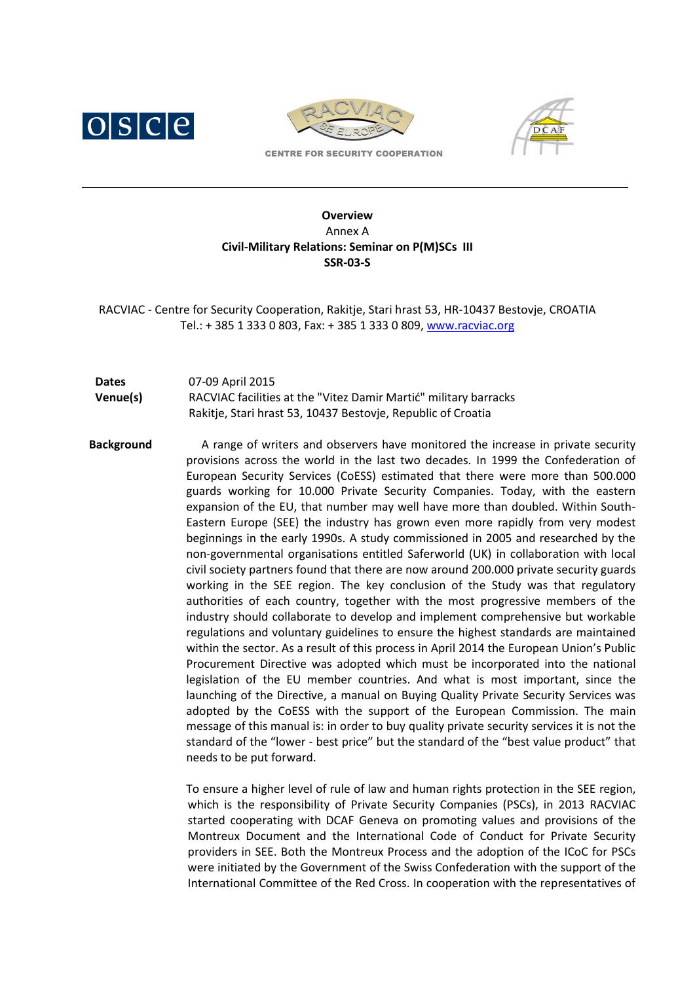





CENTRE FOR SECURITY COOPERATION

## **Overview** Annex A **Civil-Military Relations: Seminar on P(M)SCs III SSR-03-S**

RACVIAC - Centre for Security Cooperation, Rakitje, Stari hrast 53, HR-10437 Bestovje, CROATIA Tel.: + 385 1 333 0 803, Fax: + 385 1 333 0 809[, www.racviac.org](http://www.racviac.org/)

## **Dates** 07-09 April 2015 **Venue(s)** RACVIAC facilities at the "Vitez Damir Martić" military barracks Rakitje, Stari hrast 53, 10437 Bestovje, Republic of Croatia

**Background** A range of writers and observers have monitored the increase in private security provisions across the world in the last two decades. In 1999 the Confederation of European Security Services (CoESS) estimated that there were more than 500.000 guards working for 10.000 Private Security Companies. Today, with the eastern expansion of the EU, that number may well have more than doubled. Within South-Eastern Europe (SEE) the industry has grown even more rapidly from very modest beginnings in the early 1990s. A study commissioned in 2005 and researched by the non-governmental organisations entitled Saferworld (UK) in collaboration with local civil society partners found that there are now around 200.000 private security guards working in the SEE region. The key conclusion of the Study was that regulatory authorities of each country, together with the most progressive members of the industry should collaborate to develop and implement comprehensive but workable regulations and voluntary guidelines to ensure the highest standards are maintained within the sector. As a result of this process in April 2014 the European Union's Public Procurement Directive was adopted which must be incorporated into the national legislation of the EU member countries. And what is most important, since the launching of the Directive, a manual on Buying Quality Private Security Services was adopted by the CoESS with the support of the European Commission. The main message of this manual is: in order to buy quality private security services it is not the standard of the "lower - best price" but the standard of the "best value product" that needs to be put forward.

> To ensure a higher level of rule of law and human rights protection in the SEE region, which is the responsibility of Private Security Companies (PSCs), in 2013 RACVIAC started cooperating with DCAF Geneva on promoting values and provisions of the Montreux Document and the International Code of Conduct for Private Security providers in SEE. Both the Montreux Process and the adoption of the ICoC for PSCs were initiated by the Government of the Swiss Confederation with the support of the International Committee of the Red Cross. In cooperation with the representatives of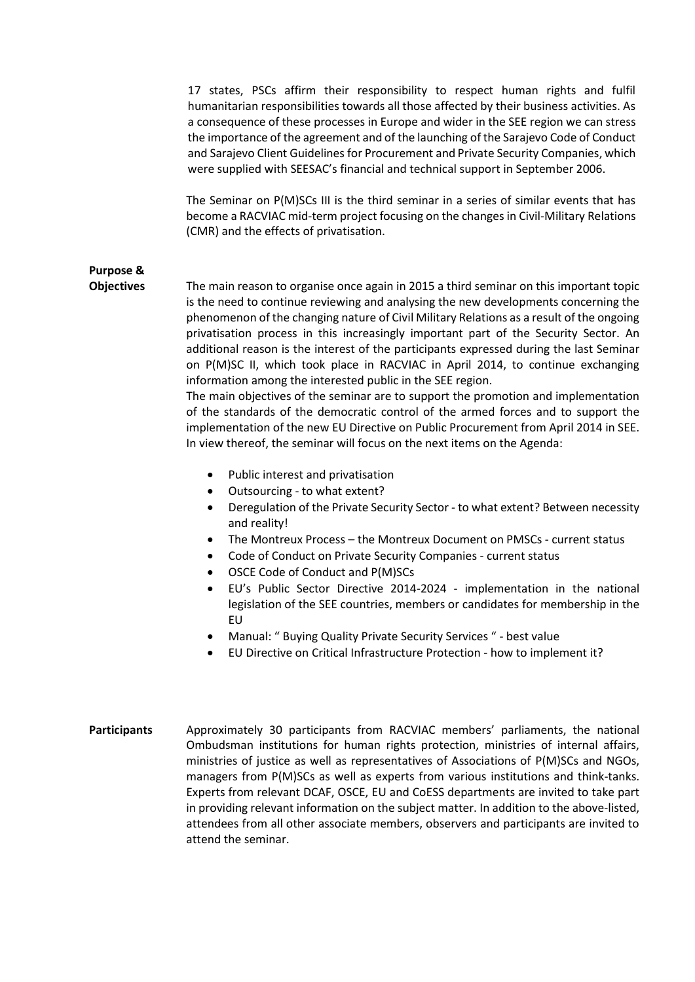17 states, PSCs affirm their responsibility to respect human rights and fulfil humanitarian responsibilities towards all those affected by their business activities. As a consequence of these processes in Europe and wider in the SEE region we can stress the importance of the agreement and of the launching of the Sarajevo Code of Conduct and Sarajevo Client Guidelines for Procurement and Private Security Companies, which were supplied with SEESAC's financial and technical support in September 2006.

The Seminar on P(M)SCs III is the third seminar in a series of similar events that has become a RACVIAC mid-term project focusing on the changes in Civil-Military Relations (CMR) and the effects of privatisation.

## **Purpose &**

**Objectives** The main reason to organise once again in 2015 a third seminar on this important topic is the need to continue reviewing and analysing the new developments concerning the phenomenon of the changing nature of Civil Military Relations as a result of the ongoing privatisation process in this increasingly important part of the Security Sector. An additional reason is the interest of the participants expressed during the last Seminar on P(M)SC II, which took place in RACVIAC in April 2014, to continue exchanging information among the interested public in the SEE region.

> The main objectives of the seminar are to support the promotion and implementation of the standards of the democratic control of the armed forces and to support the implementation of the new EU Directive on Public Procurement from April 2014 in SEE. In view thereof, the seminar will focus on the next items on the Agenda:

- Public interest and privatisation
- Outsourcing to what extent?
- Deregulation of the Private Security Sector to what extent? Between necessity and reality!
- The Montreux Process the Montreux Document on PMSCs current status
- Code of Conduct on Private Security Companies current status
- OSCE Code of Conduct and P(M)SCs
- EU's Public Sector Directive 2014-2024 implementation in the national legislation of the SEE countries, members or candidates for membership in the EU
- Manual: " Buying Quality Private Security Services " best value
- EU Directive on Critical Infrastructure Protection how to implement it?
- **Participants** Approximately 30 participants from RACVIAC members' parliaments, the national Ombudsman institutions for human rights protection, ministries of internal affairs, ministries of justice as well as representatives of Associations of P(M)SCs and NGOs, managers from P(M)SCs as well as experts from various institutions and think-tanks. Experts from relevant DCAF, OSCE, EU and CoESS departments are invited to take part in providing relevant information on the subject matter. In addition to the above-listed, attendees from all other associate members, observers and participants are invited to attend the seminar.